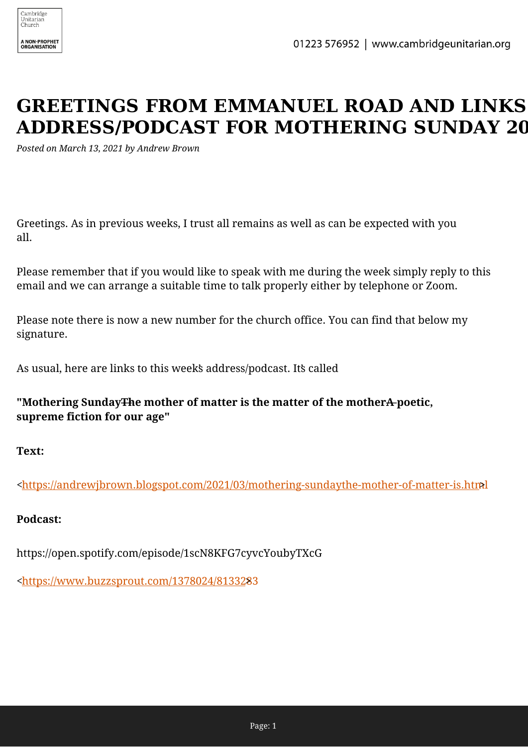

## **GREETINGS FROM EMMANUEL ROAD AND LINKS ADDRESS/PODCAST FOR MOTHERING SUNDAY 20**

*Posted on March 13, 2021 by Andrew Brown*

Greetings. As in previous weeks, I trust all remains as well as can be expected with you all.

Please remember that if you would like to speak with me during the week simply reply to this email and we can arrange a suitable time to talk properly either by telephone or Zoom.

Please note there is now a new number for the church office. You can find that below my signature.

As usual, here are links to this week's address/podcast. It's called

**"Mothering Sunday The mother of matter is the matter of the mother A-poetic, supreme fiction for our age"**

**Text:**

[<https://andrewjbrown.blogspot.com/2021/03/mothering-sundaythe-mother-of-matter-is.htm](https://andrewjbrown.blogspot.com/2021/03/mothering-sundaythe-mother-of-matter-is.html)l >

## **Podcast:**

https://open.spotify.com/episode/1scN8KFG7cyvcYoubyTXcG

[<https://www.buzzsprout.com/1378024/81332](https://www.buzzsprout.com/1378024/8133283)83[>](https://www.buzzsprout.com/1378024/8133283)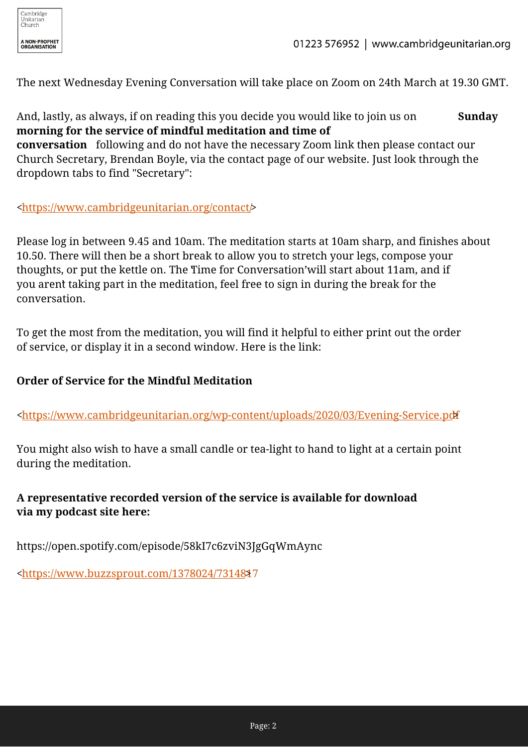

The next Wednesday Evening Conversation will take place on Zoom on 24th March at 19.30 GMT.

And, lastly, as always, if on reading this you decide you would like to join us on **Sunday morning for the service of mindful meditation and time of**

**conversation** following and do not have the necessary Zoom link then please contact our Church Secretary, Brendan Boyle, via the contact page of our website. Just look through the dropdown tabs to find "Secretary":

[<https://www.cambridgeunitarian.org/contact/>](https://www.cambridgeunitarian.org/contact/)

Please log in between 9.45 and 10am. The meditation starts at 10am sharp, and finishes about 10.50. There will then be a short break to allow you to stretch your legs, compose your thoughts, or put the kettle on. The Time for Conversation' will start about 11am, and if you arent taking part in the meditation, feel free to sign in during the break for the conversation.

To get the most from the meditation, you will find it helpful to either print out the order of service, or display it in a second window. Here is the link:

## **Order of Service for the Mindful Meditation**

[<https://www.cambridgeunitarian.org/wp-content/uploads/2020/03/Evening-Service.pd](https://www.cambridgeunitarian.org/wp-content/uploads/2020/03/Evening-Service.pdf)f[>](https://www.cambridgeunitarian.org/wp-content/uploads/2020/03/Evening-Service.pdf)

You might also wish to have a small candle or tea-light to hand to light at a certain point during the meditation.

## **A representative recorded version of the service is available for download via my podcast site here:**

https://open.spotify.com/episode/58kI7c6zviN3JgGqWmAync

[<https://www.buzzsprout.com/1378024/73148](https://www.buzzsprout.com/1378024/7314817)17[>](https://www.buzzsprout.com/1378024/7314817)